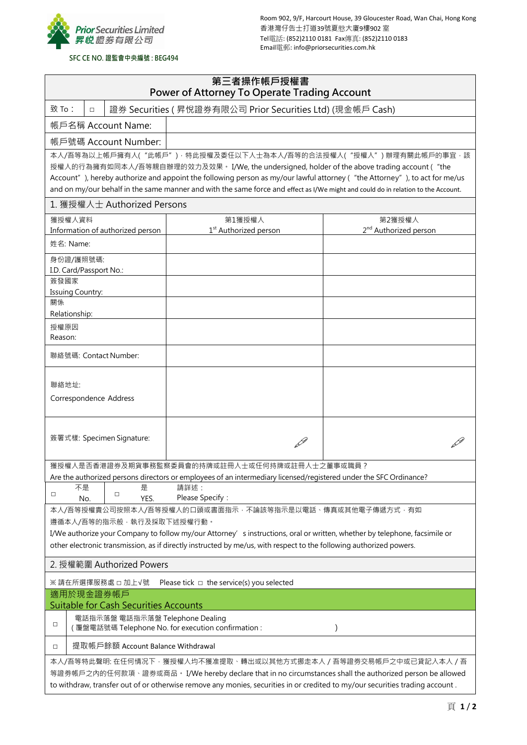

Room 902, 9/F, Harcourt House, 39 Gloucester Road, Wan Chai, Hong Kong 香港灣仔告士打道39號夏慤大廈9樓902 室 Tel電話: (852)2110 0181 Fax傳真: (852)2110 0183 Email電郵: info@priorsecurities.com.hk

## **SFC CE NO. 證監會中央編號 : BEG494**

| 第三者操作帳戶授權書<br>Power of Attorney To Operate Trading Account                                                                                                                                                                                                                                                                                                                                                                                                      |                                   |                                   |  |  |  |
|-----------------------------------------------------------------------------------------------------------------------------------------------------------------------------------------------------------------------------------------------------------------------------------------------------------------------------------------------------------------------------------------------------------------------------------------------------------------|-----------------------------------|-----------------------------------|--|--|--|
| 致 To:<br>證券 Securities (昇悅證券有限公司 Prior Securities Ltd) (現金帳戶 Cash)<br>$\Box$                                                                                                                                                                                                                                                                                                                                                                                    |                                   |                                   |  |  |  |
| 帳戶名稱 Account Name:                                                                                                                                                                                                                                                                                                                                                                                                                                              |                                   |                                   |  |  |  |
| 帳戶號碼 Account Number:                                                                                                                                                                                                                                                                                                                                                                                                                                            |                                   |                                   |  |  |  |
| 本人/吾等為以上帳戶擁有人("此帳戶")·特此授權及委任以下人士為本人/吾等的合法授權人("授權人")辦理有關此帳戶的事宜·該<br>授權人的行為擁有如同本人/吾等親自辦理的效力及效果。 I/We, the undersigned, holder of the above trading account ("the<br>Account"), hereby authorize and appoint the following person as my/our lawful attorney ("the Attorney"), to act for me/us<br>and on my/our behalf in the same manner and with the same force and effect as I/We might and could do in relation to the Account.<br>1. 獲授權人士 Authorized Persons |                                   |                                   |  |  |  |
| 獲授權人資料                                                                                                                                                                                                                                                                                                                                                                                                                                                          | 第1獲授權人                            | 第2獲授權人                            |  |  |  |
| Information of authorized person                                                                                                                                                                                                                                                                                                                                                                                                                                | 1 <sup>st</sup> Authorized person | 2 <sup>nd</sup> Authorized person |  |  |  |
| 姓名: Name:                                                                                                                                                                                                                                                                                                                                                                                                                                                       |                                   |                                   |  |  |  |
| 身份證/護照號碼:                                                                                                                                                                                                                                                                                                                                                                                                                                                       |                                   |                                   |  |  |  |
| I.D. Card/Passport No.:<br>簽發國家                                                                                                                                                                                                                                                                                                                                                                                                                                 |                                   |                                   |  |  |  |
| <b>Issuing Country:</b>                                                                                                                                                                                                                                                                                                                                                                                                                                         |                                   |                                   |  |  |  |
| 關係                                                                                                                                                                                                                                                                                                                                                                                                                                                              |                                   |                                   |  |  |  |
| Relationship:                                                                                                                                                                                                                                                                                                                                                                                                                                                   |                                   |                                   |  |  |  |
| 授權原因<br>Reason:                                                                                                                                                                                                                                                                                                                                                                                                                                                 |                                   |                                   |  |  |  |
| 聯絡號碼: Contact Number:                                                                                                                                                                                                                                                                                                                                                                                                                                           |                                   |                                   |  |  |  |
| 聯絡地址:<br>Correspondence Address                                                                                                                                                                                                                                                                                                                                                                                                                                 |                                   |                                   |  |  |  |
| 簽署式樣: Specimen Signature:                                                                                                                                                                                                                                                                                                                                                                                                                                       |                                   |                                   |  |  |  |
| 獲授權人是否香港證券及期貨事務監察委員會的持牌或註冊人士或任何持牌或註冊人士之董事或職員?                                                                                                                                                                                                                                                                                                                                                                                                                   |                                   |                                   |  |  |  |
| Are the authorized persons directors or employees of an intermediary licensed/registered under the SFC Ordinance?<br>請詳述:<br>不是<br>릁                                                                                                                                                                                                                                                                                                                            |                                   |                                   |  |  |  |
| □<br>□<br>Please Specify:<br>YES.<br>No.                                                                                                                                                                                                                                                                                                                                                                                                                        |                                   |                                   |  |  |  |
| 本人/吾等授權貴公司按照本人/吾等授權人的口頭或書面指示,不論該等指示是以電話、傳真或其他電子傳遞方式,有如                                                                                                                                                                                                                                                                                                                                                                                                          |                                   |                                   |  |  |  |
| 遵循本人/吾等的指示般, 執行及採取下述授權行動。                                                                                                                                                                                                                                                                                                                                                                                                                                       |                                   |                                   |  |  |  |
| I/We authorize your Company to follow my/our Attorney' sinstructions, oral or written, whether by telephone, facsimile or<br>other electronic transmission, as if directly instructed by me/us, with respect to the following authorized powers.                                                                                                                                                                                                                |                                   |                                   |  |  |  |
| 2. 授權範圍 Authorized Powers                                                                                                                                                                                                                                                                                                                                                                                                                                       |                                   |                                   |  |  |  |
| ※ 請在所選擇服務處 □ 加上√號<br>Please tick $\Box$ the service(s) you selected                                                                                                                                                                                                                                                                                                                                                                                             |                                   |                                   |  |  |  |
| 適用於現金證券帳戶<br><b>Suitable for Cash Securities Accounts</b>                                                                                                                                                                                                                                                                                                                                                                                                       |                                   |                                   |  |  |  |
| 電話指示落盤 電話指示落盤 Telephone Dealing<br>□<br>(覆盤電話號碼 Telephone No. for execution confirmation :<br>$\mathcal{E}$                                                                                                                                                                                                                                                                                                                                                     |                                   |                                   |  |  |  |
| 提取帳戶餘額 Account Balance Withdrawal<br>о                                                                                                                                                                                                                                                                                                                                                                                                                          |                                   |                                   |  |  |  |
| 本人/吾等特此聲明: 在任何情况下 · 獲授權人均不獲准提取 · 轉出或以其他方式挪走本人 / 吾等證券交易帳戶之中或已貸記入本人 / 吾<br>等證券帳戶之內的任何款項、證券或商品。 I/We hereby declare that in no circumstances shall the authorized person be allowed<br>to withdraw, transfer out of or otherwise remove any monies, securities in or credited to my/our securities trading account.                                                                                                                                                |                                   |                                   |  |  |  |